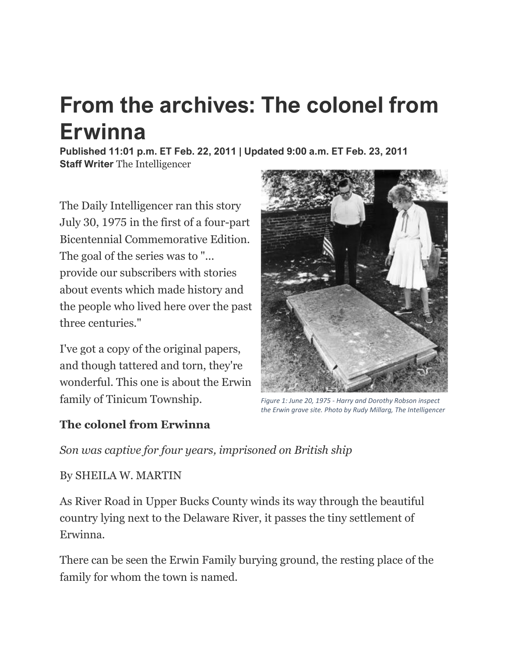## **From the archives: The colonel from Erwinna**

**Published 11:01 p.m. ET Feb. 22, 2011 | Updated 9:00 a.m. ET Feb. 23, 2011 Staff Writer** The Intelligencer

The Daily Intelligencer ran this story July 30, 1975 in the first of a four-part Bicentennial Commemorative Edition. The goal of the series was to "... provide our subscribers with stories about events which made history and the people who lived here over the past three centuries."

I've got a copy of the original papers, and though tattered and torn, they're wonderful. This one is about the Erwin family of Tinicum Township.



*Figure 1: June 20, 1975 - Harry and Dorothy Robson inspect the Erwin grave site. Photo by Rudy Millarg, The Intelligencer*

## **The colonel from Erwinna**

*Son was captive for four years, imprisoned on British ship*

## By SHEILA W. MARTIN

As River Road in Upper Bucks County winds its way through the beautiful country lying next to the Delaware River, it passes the tiny settlement of Erwinna.

There can be seen the Erwin Family burying ground, the resting place of the family for whom the town is named.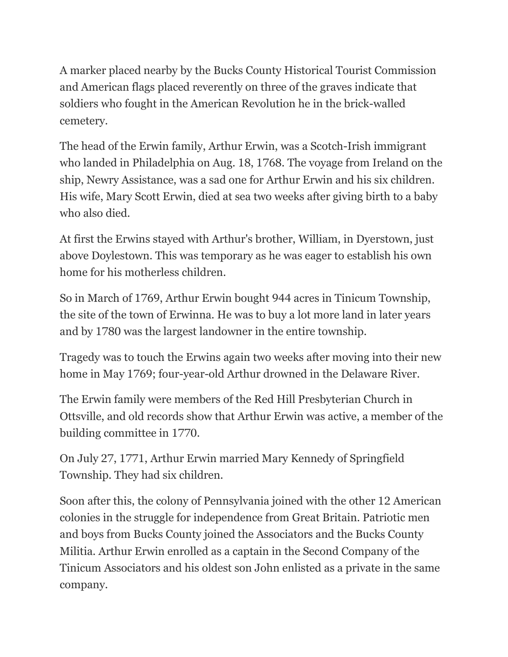A marker placed nearby by the Bucks County Historical Tourist Commission and American flags placed reverently on three of the graves indicate that soldiers who fought in the American Revolution he in the brick-walled cemetery.

The head of the Erwin family, Arthur Erwin, was a Scotch-Irish immigrant who landed in Philadelphia on Aug. 18, 1768. The voyage from Ireland on the ship, Newry Assistance, was a sad one for Arthur Erwin and his six children. His wife, Mary Scott Erwin, died at sea two weeks after giving birth to a baby who also died.

At first the Erwins stayed with Arthur's brother, William, in Dyerstown, just above Doylestown. This was temporary as he was eager to establish his own home for his motherless children.

So in March of 1769, Arthur Erwin bought 944 acres in Tinicum Township, the site of the town of Erwinna. He was to buy a lot more land in later years and by 1780 was the largest landowner in the entire township.

Tragedy was to touch the Erwins again two weeks after moving into their new home in May 1769; four-year-old Arthur drowned in the Delaware River.

The Erwin family were members of the Red Hill Presbyterian Church in Ottsville, and old records show that Arthur Erwin was active, a member of the building committee in 1770.

On July 27, 1771, Arthur Erwin married Mary Kennedy of Springfield Township. They had six children.

Soon after this, the colony of Pennsylvania joined with the other 12 American colonies in the struggle for independence from Great Britain. Patriotic men and boys from Bucks County joined the Associators and the Bucks County Militia. Arthur Erwin enrolled as a captain in the Second Company of the Tinicum Associators and his oldest son John enlisted as a private in the same company.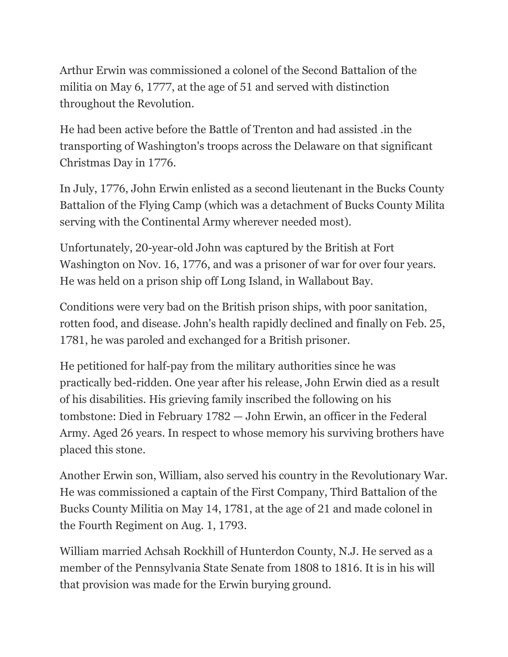Arthur Erwin was commissioned a colonel of the Second Battalion of the militia on May 6, 1777, at the age of 51 and served with distinction throughout the Revolution.

He had been active before the Battle of Trenton and had assisted .in the transporting of Washington's troops across the Delaware on that significant Christmas Day in 1776.

In July, 1776, John Erwin enlisted as a second lieutenant in the Bucks County Battalion of the Flying Camp (which was a detachment of Bucks County Milita serving with the Continental Army wherever needed most).

Unfortunately, 20-year-old John was captured by the British at Fort Washington on Nov. 16, 1776, and was a prisoner of war for over four years. He was held on a prison ship off Long Island, in Wallabout Bay.

Conditions were very bad on the British prison ships, with poor sanitation, rotten food, and disease. John's health rapidly declined and finally on Feb. 25, 1781, he was paroled and exchanged for a British prisoner.

He petitioned for half-pay from the military authorities since he was practically bed-ridden. One year after his release, John Erwin died as a result of his disabilities. His grieving family inscribed the following on his tombstone: Died in February 1782 — John Erwin, an officer in the Federal Army. Aged 26 years. In respect to whose memory his surviving brothers have placed this stone.

Another Erwin son, William, also served his country in the Revolutionary War. He was commissioned a captain of the First Company, Third Battalion of the Bucks County Militia on May 14, 1781, at the age of 21 and made colonel in the Fourth Regiment on Aug. 1, 1793.

William married Achsah Rockhill of Hunterdon County, N.J. He served as a member of the Pennsylvania State Senate from 1808 to 1816. It is in his will that provision was made for the Erwin burying ground.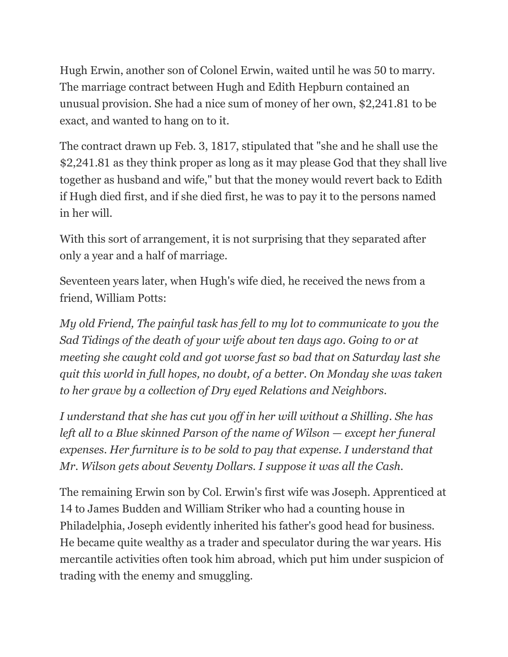Hugh Erwin, another son of Colonel Erwin, waited until he was 50 to marry. The marriage contract between Hugh and Edith Hepburn contained an unusual provision. She had a nice sum of money of her own, \$2,241.81 to be exact, and wanted to hang on to it.

The contract drawn up Feb. 3, 1817, stipulated that "she and he shall use the \$2,241.81 as they think proper as long as it may please God that they shall live together as husband and wife," but that the money would revert back to Edith if Hugh died first, and if she died first, he was to pay it to the persons named in her will.

With this sort of arrangement, it is not surprising that they separated after only a year and a half of marriage.

Seventeen years later, when Hugh's wife died, he received the news from a friend, William Potts:

*My old Friend, The painful task has fell to my lot to communicate to you the Sad Tidings of the death of your wife about ten days ago. Going to or at meeting she caught cold and got worse fast so bad that on Saturday last she quit this world in full hopes, no doubt, of a better. On Monday she was taken to her grave by a collection of Dry eyed Relations and Neighbors.*

*I understand that she has cut you off in her will without a Shilling. She has left all to a Blue skinned Parson of the name of Wilson — except her funeral expenses. Her furniture is to be sold to pay that expense. I understand that Mr. Wilson gets about Seventy Dollars. I suppose it was all the Cash.*

The remaining Erwin son by Col. Erwin's first wife was Joseph. Apprenticed at 14 to James Budden and William Striker who had a counting house in Philadelphia, Joseph evidently inherited his father's good head for business. He became quite wealthy as a trader and speculator during the war years. His mercantile activities often took him abroad, which put him under suspicion of trading with the enemy and smuggling.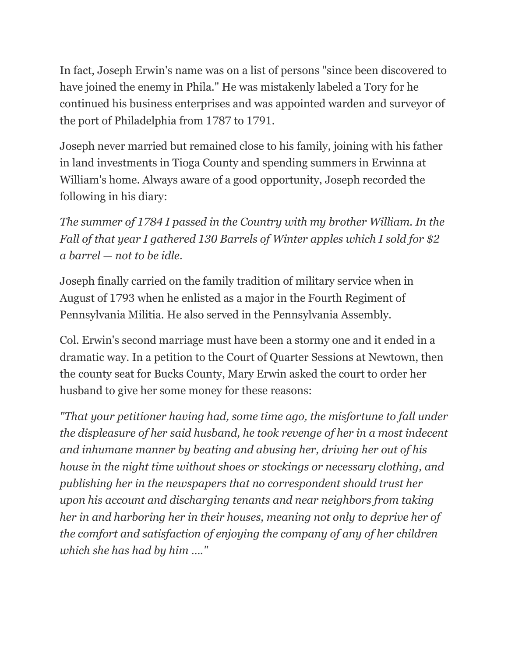In fact, Joseph Erwin's name was on a list of persons "since been discovered to have joined the enemy in Phila." He was mistakenly labeled a Tory for he continued his business enterprises and was appointed warden and surveyor of the port of Philadelphia from 1787 to 1791.

Joseph never married but remained close to his family, joining with his father in land investments in Tioga County and spending summers in Erwinna at William's home. Always aware of a good opportunity, Joseph recorded the following in his diary:

*The summer of 1784 I passed in the Country with my brother William. In the Fall of that year I gathered 130 Barrels of Winter apples which I sold for \$2 a barrel — not to be idle.*

Joseph finally carried on the family tradition of military service when in August of 1793 when he enlisted as a major in the Fourth Regiment of Pennsylvania Militia. He also served in the Pennsylvania Assembly.

Col. Erwin's second marriage must have been a stormy one and it ended in a dramatic way. In a petition to the Court of Quarter Sessions at Newtown, then the county seat for Bucks County, Mary Erwin asked the court to order her husband to give her some money for these reasons:

*"That your petitioner having had, some time ago, the misfortune to fall under the displeasure of her said husband, he took revenge of her in a most indecent and inhumane manner by beating and abusing her, driving her out of his house in the night time without shoes or stockings or necessary clothing, and publishing her in the newspapers that no correspondent should trust her upon his account and discharging tenants and near neighbors from taking her in and harboring her in their houses, meaning not only to deprive her of the comfort and satisfaction of enjoying the company of any of her children which she has had by him …."*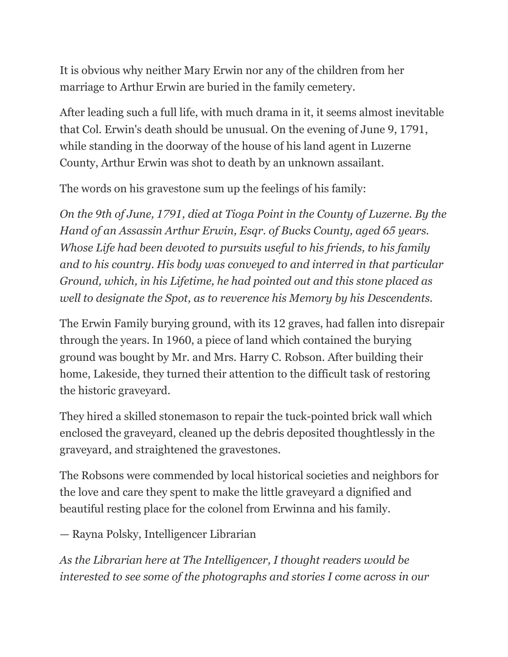It is obvious why neither Mary Erwin nor any of the children from her marriage to Arthur Erwin are buried in the family cemetery.

After leading such a full life, with much drama in it, it seems almost inevitable that Col. Erwin's death should be unusual. On the evening of June 9, 1791, while standing in the doorway of the house of his land agent in Luzerne County, Arthur Erwin was shot to death by an unknown assailant.

The words on his gravestone sum up the feelings of his family:

*On the 9th of June, 1791, died at Tioga Point in the County of Luzerne. By the Hand of an Assassin Arthur Erwin, Esqr. of Bucks County, aged 65 years. Whose Life had been devoted to pursuits useful to his friends, to his family and to his country. His body was conveyed to and interred in that particular Ground, which, in his Lifetime, he had pointed out and this stone placed as well to designate the Spot, as to reverence his Memory by his Descendents.*

The Erwin Family burying ground, with its 12 graves, had fallen into disrepair through the years. In 1960, a piece of land which contained the burying ground was bought by Mr. and Mrs. Harry C. Robson. After building their home, Lakeside, they turned their attention to the difficult task of restoring the historic graveyard.

They hired a skilled stonemason to repair the tuck-pointed brick wall which enclosed the graveyard, cleaned up the debris deposited thoughtlessly in the graveyard, and straightened the gravestones.

The Robsons were commended by local historical societies and neighbors for the love and care they spent to make the little graveyard a dignified and beautiful resting place for the colonel from Erwinna and his family.

— Rayna Polsky, Intelligencer Librarian

*As the Librarian here at The Intelligencer, I thought readers would be interested to see some of the photographs and stories I come across in our*